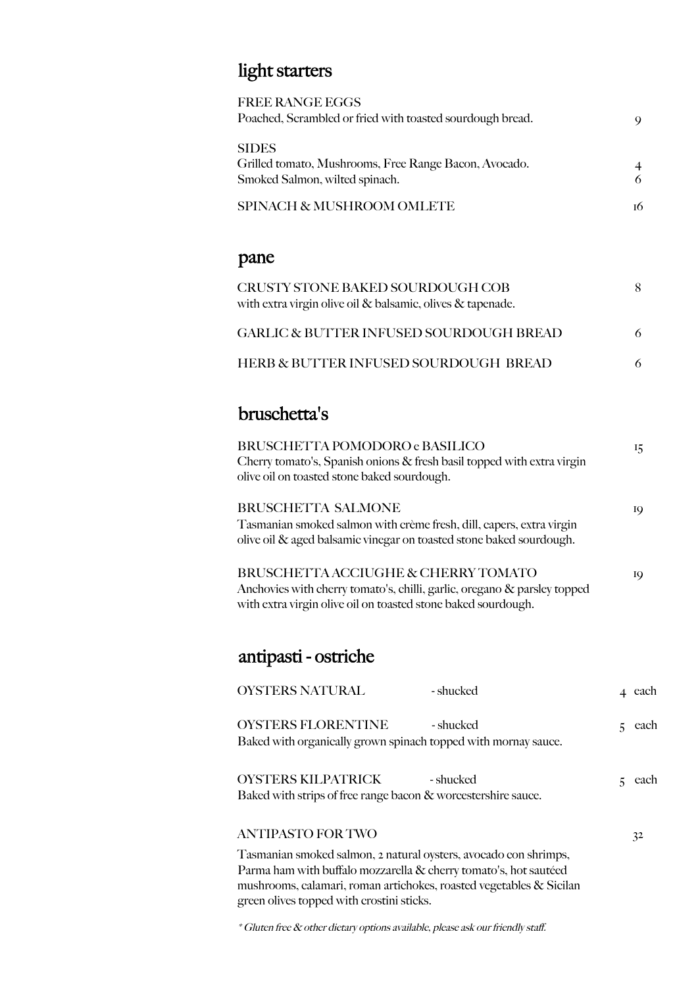### light starters

| <b>FREE RANGE EGGS</b>                                    |    |
|-----------------------------------------------------------|----|
| Poached, Scrambled or fried with toasted sourdough bread. | 9  |
| <b>SIDES</b>                                              |    |
| Grilled tomato, Mushrooms, Free Range Bacon, Avocado.     |    |
| Smoked Salmon, wilted spinach.                            | 6  |
| SPINACH & MUSHROOM OMLETE                                 | тб |
|                                                           |    |
|                                                           |    |

#### pane

| CRUSTY STONE BAKED SOURDOUGH COB<br>with extra virgin olive oil $\&$ balsamic, olives $\&$ tapenade. |   |
|------------------------------------------------------------------------------------------------------|---|
| <b>GARLIC &amp; BUTTER INFUSED SOURDOUGH BREAD</b>                                                   | 6 |
| HERB & BUTTER INFUSED SOURDOUGH BREAD                                                                |   |

#### bruschetta's

| BRUSCHETTA POMODORO e BASILICO<br>Cherry tomato's, Spanish onions $\&$ fresh basil topped with extra virgin<br>olive oil on toasted stone baked sourdough.                       |    | 15       |
|----------------------------------------------------------------------------------------------------------------------------------------------------------------------------------|----|----------|
| <b>BRUSCHETTA SALMONE</b><br>Tasmanian smoked salmon with crème fresh, dill, capers, extra virgin<br>olive oil & aged balsamic vinegar on toasted stone baked sourdough.         |    | 19       |
| BRUSCHETTA ACCIUGHE & CHERRY TOMATO<br>Anchovies with cherry tomato's, chilli, garlic, oregano & parsley topped<br>with extra virgin olive oil on toasted stone baked sourdough. |    | 19       |
| antipasti - ostriche                                                                                                                                                             |    |          |
| <b>OYSTERS NATURAL</b><br>- shucked                                                                                                                                              |    | 4 each   |
| <b>OYSTERS FLORENTINE</b><br>- shucked<br>Baked with organically grown spinach topped with mornay sauce.                                                                         |    | $5$ each |
| OYSTERS KILPATRICK<br>- shucked<br>Baked with strips of free range bacon & worcestershire sauce.                                                                                 | 5. | each     |

#### ANTIPASTO FOR TWO 32

Tasmanian smoked salmon, 2 natural oysters, avocado con shrimps, Parma ham with buffalo mozzarella & cherry tomato's, hot sautéed mushrooms, calamari, roman artichokes, roasted vegetables & Sicilan green olives topped with crostini sticks.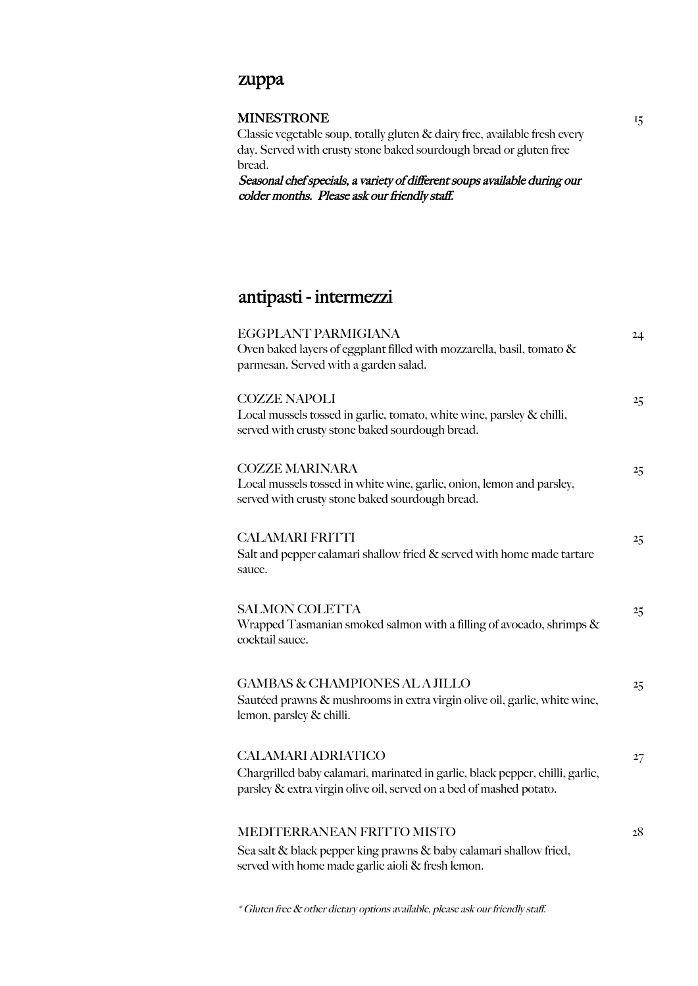#### zuppa

| <b>MINESTRONE</b>                                                                                                                                                                 |  |
|-----------------------------------------------------------------------------------------------------------------------------------------------------------------------------------|--|
| Classic vegetable soup, totally gluten & dairy free, available fresh every<br>day. Served with crusty stone baked sourdough bread or gluten free                                  |  |
| bread.<br>Seasonal chef specials, a variety of different soups available during our<br>colder months. Please ask our friendly staff.                                              |  |
| antipasti - intermezzi                                                                                                                                                            |  |
| EGGPLANT PARMIGIANA<br>Oven baked layers of eggplant filled with mozzarella, basil, tomato &<br>parmesan. Served with a garden salad.                                             |  |
| <b>COZZE NAPOLI</b><br>Local mussels tossed in garlic, tomato, white wine, parsley & chilli,<br>served with crusty stone baked sourdough bread.                                   |  |
| <b>COZZE MARINARA</b><br>Local mussels tossed in white wine, garlic, onion, lemon and parsley,<br>served with crusty stone baked sourdough bread.                                 |  |
| <b>CALAMARI FRITTI</b><br>Salt and pepper calamari shallow fried $\&$ served with home made tartare<br>sauce.                                                                     |  |
| <b>SALMON COLETTA</b><br>Wrapped Tasmanian smoked salmon with a filling of avocado, shrimps $\&$<br>cocktail sauce.                                                               |  |
| <b>GAMBAS &amp; CHAMPIONES AL A JILLO</b><br>Sautéed prawns & mushrooms in extra virgin olive oil, garlic, white wine,<br>lemon, parsley & chilli.                                |  |
| <b>CALAMARI ADRIATICO</b><br>Chargrilled baby calamari, marinated in garlic, black pepper, chilli, garlic,<br>parsley & extra virgin olive oil, served on a bed of mashed potato. |  |
| MEDITERRANEAN FRITTO MISTO                                                                                                                                                        |  |

Sea salt & black pepper king prawns & baby calamari shallow fried, served with home made garlic aioli & fresh lemon.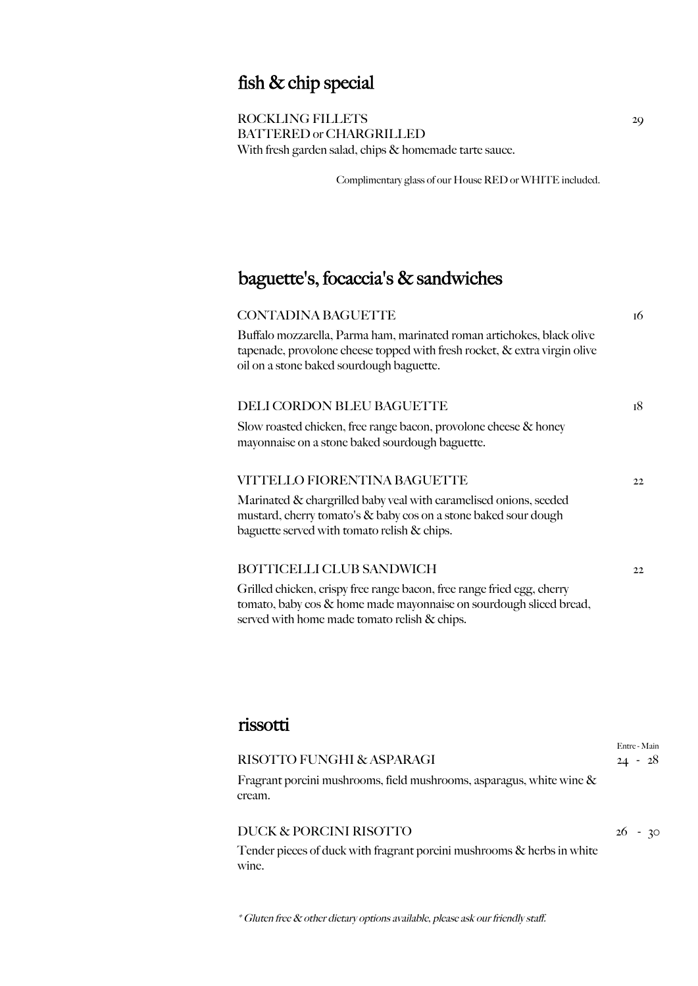## fish & chip special

ROCKLING FILLETS BATTERED or CHARGRILLED With fresh garden salad, chips & homemade tarte sauce.

Complimentary glass of our House RED or WHITE included.

## baguette's, focaccia's & sandwiches

served with home made tomato relish & chips.

| <b>CONTADINA BAGUETTE</b>                                                                                                                                                                          | 16 |
|----------------------------------------------------------------------------------------------------------------------------------------------------------------------------------------------------|----|
| Buffalo mozzarella, Parma ham, marinated roman artichokes, black olive<br>tapenade, provolone cheese topped with fresh rocket, $\&$ extra virgin olive<br>oil on a stone baked sourdough baguette. |    |
| DELI CORDON BLEU BAGUETTE                                                                                                                                                                          | 18 |
| Slow roasted chicken, free range bacon, provolone cheese & honey<br>mayonnaise on a stone baked sourdough baguette.                                                                                |    |
| VITTELLO FIORENTINA BAGUETTE                                                                                                                                                                       | 22 |
| Marinated & chargrilled baby veal with caramelised onions, seeded<br>mustard, cherry tomato's & baby cos on a stone baked sour dough<br>baguette served with tomato relish & chips.                |    |
| BOTTICELLI CLUB SANDWICH                                                                                                                                                                           | 22 |
| Grilled chicken, crispy free range bacon, free range fried egg, cherry<br>tomato, baby cos & home made mayonnaise on sourdough sliced bread,                                                       |    |

#### rissotti

| RISOTTO FUNGHI & ASPARAGI                                                         | Entre - Main<br>$24 - 28$ |
|-----------------------------------------------------------------------------------|---------------------------|
| Fragrant porcini mushrooms, field mushrooms, asparagus, white wine $\&$<br>cream. |                           |
| DUCK & PORCINI RISOTTO                                                            | $26 - 30$                 |

Tender pieces of duck with fragrant porcini mushrooms & herbs in white wine.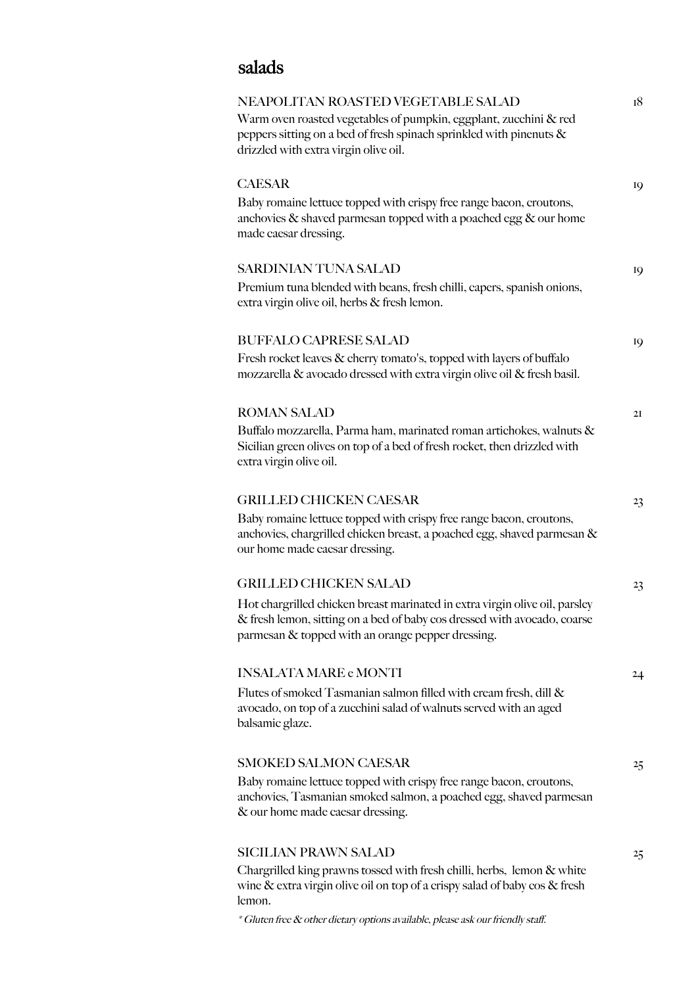## salads

| NEAPOLITAN ROASTED VEGETABLE SALAD<br>Warm oven roasted vegetables of pumpkin, eggplant, zucchini & red<br>peppers sitting on a bed of fresh spinach sprinkled with pinenuts &<br>drizzled with extra virgin olive oil.                                                          | 18 |
|----------------------------------------------------------------------------------------------------------------------------------------------------------------------------------------------------------------------------------------------------------------------------------|----|
| <b>CAESAR</b><br>Baby romaine lettuce topped with crispy free range bacon, croutons,<br>anchovies & shaved parmesan topped with a poached egg & our home<br>made caesar dressing.                                                                                                | 19 |
| <b>SARDINIAN TUNA SALAD</b><br>Premium tuna blended with beans, fresh chilli, capers, spanish onions,<br>extra virgin olive oil, herbs & fresh lemon.                                                                                                                            | 19 |
| <b>BUFFALO CAPRESE SALAD</b><br>Fresh rocket leaves & cherry tomato's, topped with layers of buffalo<br>mozzarella & avocado dressed with extra virgin olive oil & fresh basil.                                                                                                  | 19 |
| <b>ROMAN SALAD</b><br>Buffalo mozzarella, Parma ham, marinated roman artichokes, walnuts &<br>Sicilian green olives on top of a bed of fresh rocket, then drizzled with<br>extra virgin olive oil.                                                                               | 2I |
| <b>GRILLED CHICKEN CAESAR</b><br>Baby romaine lettuce topped with crispy free range bacon, croutons,<br>anchovies, chargrilled chicken breast, a poached egg, shaved parmesan &<br>our home made caesar dressing.                                                                | 23 |
| <b>GRILLED CHICKEN SALAD</b><br>Hot chargrilled chicken breast marinated in extra virgin olive oil, parsley<br>& fresh lemon, sitting on a bed of baby cos dressed with avocado, coarse<br>parmesan & topped with an orange pepper dressing.                                     | 23 |
| <b>INSALATA MARE e MONTI</b><br>Flutes of smoked Tasmanian salmon filled with cream fresh, dill &<br>avocado, on top of a zucchini salad of walnuts served with an aged<br>balsamic glaze.                                                                                       | 24 |
| <b>SMOKED SALMON CAESAR</b><br>Baby romaine lettuce topped with crispy free range bacon, croutons,<br>anchovies, Tasmanian smoked salmon, a poached egg, shaved parmesan<br>& our home made caesar dressing.                                                                     | 25 |
| <b>SICILIAN PRAWN SALAD</b><br>Chargrilled king prawns tossed with fresh chilli, herbs, lemon & white<br>wine & extra virgin olive oil on top of a crispy salad of baby cos & fresh<br>lemon.<br>* Gluten free & other dietary options available, please ask our friendly staff. | 25 |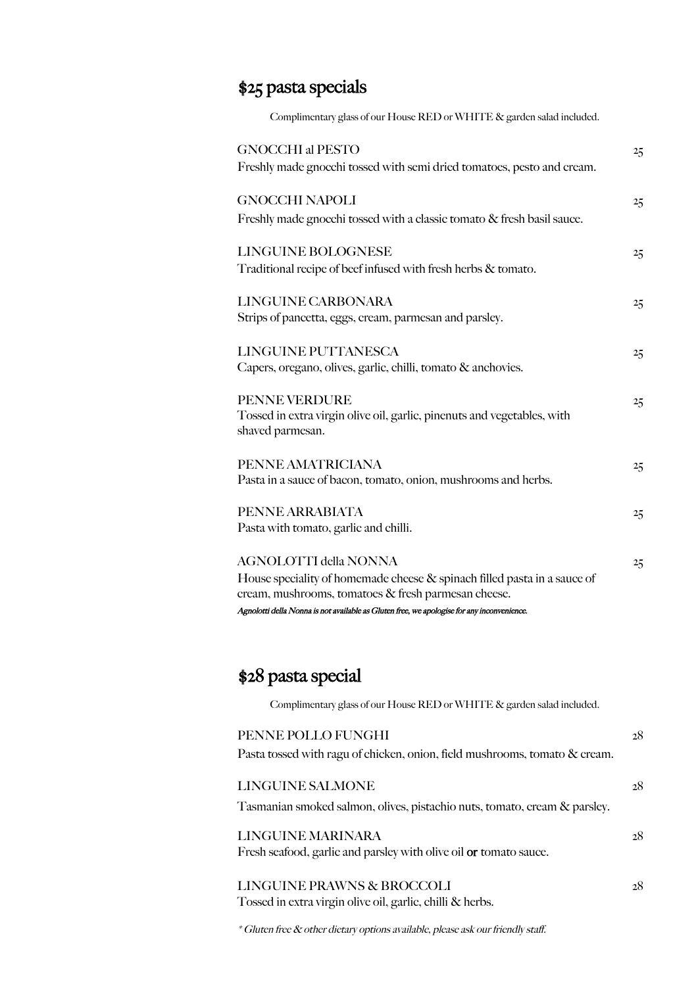## \$25 pasta specials

| Complimentary glass of our House RED or WHITE & garden salad included.                                                                                                                                                                                        |                |
|---------------------------------------------------------------------------------------------------------------------------------------------------------------------------------------------------------------------------------------------------------------|----------------|
| <b>GNOCCHI al PESTO</b><br>Freshly made gnocchi tossed with semi dried tomatoes, pesto and cream.                                                                                                                                                             | 25             |
| <b>GNOCCHI NAPOLI</b><br>Freshly made gnocchi tossed with a classic tomato & fresh basil sauce.                                                                                                                                                               | 2 <sub>5</sub> |
| LINGUINE BOLOGNESE<br>Traditional recipe of beef infused with fresh herbs & tomato.                                                                                                                                                                           | 25             |
| LINGUINE CARBONARA<br>Strips of pancetta, eggs, cream, parmesan and parsley.                                                                                                                                                                                  | 25             |
| <b>LINGUINE PUTTANESCA</b><br>Capers, oregano, olives, garlic, chilli, tomato & anchovies.                                                                                                                                                                    | 25             |
| PENNE VERDURE<br>Tossed in extra virgin olive oil, garlic, pinenuts and vegetables, with<br>shaved parmesan.                                                                                                                                                  | 2 <sub>5</sub> |
| PENNE AMATRICIANA<br>Pasta in a sauce of bacon, tomato, onion, mushrooms and herbs.                                                                                                                                                                           | 2 <sub>5</sub> |
| PENNE ARRABIATA<br>Pasta with tomato, garlic and chilli.                                                                                                                                                                                                      | 2 <sub>5</sub> |
| <b>AGNOLOTTI della NONNA</b><br>House speciality of homemade cheese & spinach filled pasta in a sauce of<br>cream, mushrooms, tomatoes & fresh parmesan cheese.<br>Agnolotti della Nonna is not available as Gluten free, we apologise for any inconvenience. | 25             |

## \$28 pasta special

Complimentary glass of our House RED or WHITE & garden salad included.

| 28 |
|----|
|    |
|    |
| 28 |
|    |
|    |
| 28 |
|    |
|    |
| 28 |
|    |
|    |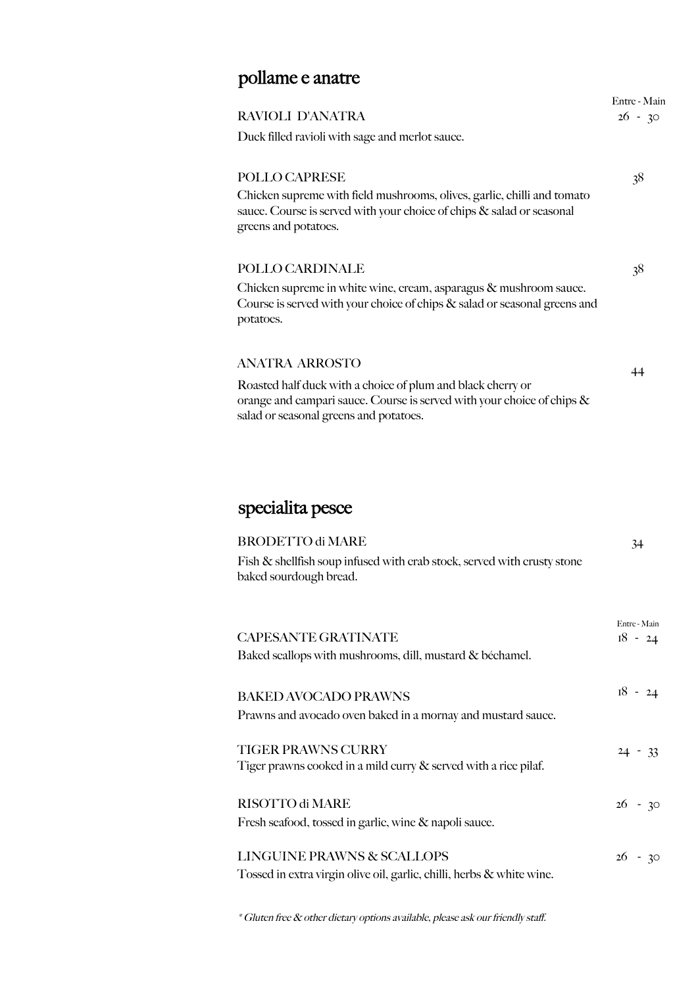# pollame e anatre

| RAVIOLI D'ANATRA                                                                                                                                                                | Entre - Main<br>$26 - 30$ |
|---------------------------------------------------------------------------------------------------------------------------------------------------------------------------------|---------------------------|
| Duck filled ravioli with sage and merlot sauce.                                                                                                                                 |                           |
| POLLO CAPRESE                                                                                                                                                                   | 38                        |
| Chicken supreme with field mushrooms, olives, garlic, chilli and tomato<br>sauce. Course is served with your choice of chips & salad or seasonal<br>greens and potatoes.        |                           |
| POLLO CARDINALE                                                                                                                                                                 | 38                        |
| Chicken supreme in white wine, cream, asparagus $\&$ mushroom sauce.<br>Course is served with your choice of chips & salad or seasonal greens and<br>potatoes.                  |                           |
| <b>ANATRA ARROSTO</b>                                                                                                                                                           | 44                        |
| Roasted half duck with a choice of plum and black cherry or<br>orange and campari sauce. Course is served with your choice of chips &<br>salad or seasonal greens and potatoes. |                           |
| specialita pesce                                                                                                                                                                |                           |
|                                                                                                                                                                                 |                           |
| <b>BRODETTO di MARE</b>                                                                                                                                                         | 34                        |
| Fish & shellfish soup infused with crab stock, served with crusty stone<br>baked sourdough bread.                                                                               |                           |
|                                                                                                                                                                                 | Entre - Main              |
| <b>CAPESANTE GRATINATE</b>                                                                                                                                                      | $18 - 24$                 |
| Baked scallops with mushrooms, dill, mustard & béchamel.                                                                                                                        |                           |

| <b>BAKED AVOCADO PRAWNS</b><br>Prawns and avocado oven baked in a mornay and mustard sauce.         | $18 - 24$ |
|-----------------------------------------------------------------------------------------------------|-----------|
| <b>TIGER PRAWNS CURRY</b><br>Tiger prawns cooked in a mild curry $\&$ served with a rice pilaf.     | $24 - 33$ |
| RISOTTO di MARE<br>Fresh seafood, tossed in garlic, wine & napoli sauce.                            | $26 - 30$ |
| LINGUINE PRAWNS & SCALLOPS<br>Tossed in extra virgin olive oil, garlic, chilli, herbs & white wine. | $26 - 30$ |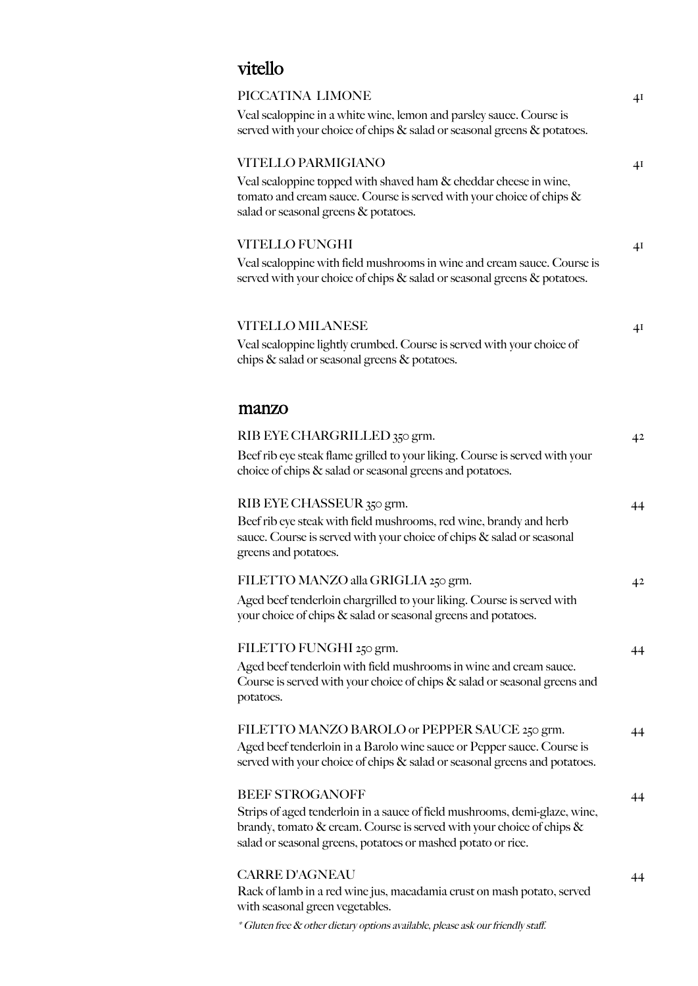## vitello

| PICCATINA LIMONE                                                                                                                                                                    | 4 <sup>I</sup> |
|-------------------------------------------------------------------------------------------------------------------------------------------------------------------------------------|----------------|
| Veal scaloppine in a white wine, lemon and parsley sauce. Course is<br>served with your choice of chips & salad or seasonal greens & potatoes.                                      |                |
| VITELLO PARMIGIANO                                                                                                                                                                  | 41             |
| Veal scaloppine topped with shaved ham & cheddar cheese in wine,<br>tomato and cream sauce. Course is served with your choice of chips $\&$<br>salad or seasonal greens & potatoes. |                |
| <b>VITELLO FUNGHI</b>                                                                                                                                                               | 4 <sup>I</sup> |
| Veal scaloppine with field mushrooms in wine and cream sauce. Course is<br>served with your choice of chips & salad or seasonal greens & potatoes.                                  |                |
| <b>VITELLO MILANESE</b>                                                                                                                                                             | 4I             |
| Veal scaloppine lightly crumbed. Course is served with your choice of<br>chips & salad or seasonal greens & potatoes.                                                               |                |
| manzo                                                                                                                                                                               |                |
| RIB EYE CHARGRILLED 350 grm.                                                                                                                                                        | 4 <sup>2</sup> |
| Beef rib eye steak flame grilled to your liking. Course is served with your<br>choice of chips & salad or seasonal greens and potatoes.                                             |                |
| RIB EYE CHASSEUR 350 grm.                                                                                                                                                           | 44             |
| Beef rib eye steak with field mushrooms, red wine, brandy and herb<br>sauce. Course is served with your choice of chips & salad or seasonal<br>greens and potatoes.                 |                |
| FILETTO MANZO alla GRIGLIA 250 grm.                                                                                                                                                 | 4 <sup>2</sup> |
| Aged beef tenderloin chargrilled to your liking. Course is served with<br>your choice of chips & salad or seasonal greens and potatoes.                                             |                |
| FILETTO FUNGHI 250 grm.                                                                                                                                                             | 44             |
| Aged beef tenderloin with field mushrooms in wine and cream sauce.<br>Course is served with your choice of chips $\&$ salad or seasonal greens and<br>potatoes.                     |                |
| FILETTO MANZO BAROLO or PEPPER SAUCE 250 grm.                                                                                                                                       | 44             |
| Aged beef tenderloin in a Barolo wine sauce or Pepper sauce. Course is<br>served with your choice of chips & salad or seasonal greens and potatoes.                                 |                |
| <b>BEEF STROGANOFF</b>                                                                                                                                                              | 44             |
| Strips of aged tenderloin in a sauce of field mushrooms, demi-glaze, wine,                                                                                                          |                |
| brandy, tomato & cream. Course is served with your choice of chips &<br>salad or seasonal greens, potatoes or mashed potato or rice.                                                |                |
|                                                                                                                                                                                     |                |
| <b>CARRE D'AGNEAU</b><br>Rack of lamb in a red wine jus, macadamia crust on mash potato, served<br>with seasonal green vegetables.                                                  | 44             |
| * Gluten free & other dietary options available, please ask our friendly staff.                                                                                                     |                |
|                                                                                                                                                                                     |                |